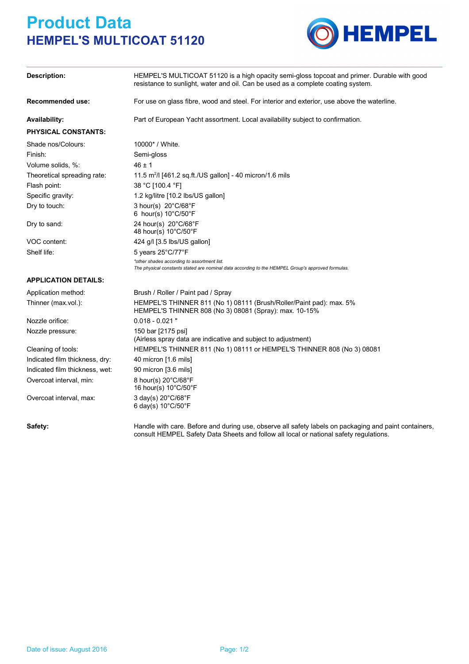## **Product Data HEMPEL'S MULTICOAT 51120**



| <b>Description:</b>            | HEMPEL'S MULTICOAT 51120 is a high opacity semi-gloss topcoat and primer. Durable with good<br>resistance to sunlight, water and oil. Can be used as a complete coating system. |  |
|--------------------------------|---------------------------------------------------------------------------------------------------------------------------------------------------------------------------------|--|
| <b>Recommended use:</b>        | For use on glass fibre, wood and steel. For interior and exterior, use above the waterline.                                                                                     |  |
| Availability:                  | Part of European Yacht assortment. Local availability subject to confirmation.                                                                                                  |  |
| <b>PHYSICAL CONSTANTS:</b>     |                                                                                                                                                                                 |  |
| Shade nos/Colours:             | 10000* / White.                                                                                                                                                                 |  |
| Finish:                        | Semi-gloss                                                                                                                                                                      |  |
| Volume solids, %:              | $46 \pm 1$                                                                                                                                                                      |  |
| Theoretical spreading rate:    | 11.5 $m^2/$ [461.2 sq.ft./US gallon] - 40 micron/1.6 mils                                                                                                                       |  |
| Flash point:                   | 38 °C [100.4 °F]                                                                                                                                                                |  |
| Specific gravity:              | 1.2 kg/litre [10.2 lbs/US gallon]                                                                                                                                               |  |
| Dry to touch:                  | 3 hour(s) $20^{\circ}$ C/68 $^{\circ}$ F<br>6 hour(s) 10°C/50°F                                                                                                                 |  |
| Dry to sand:                   | 24 hour(s) 20°C/68°F<br>48 hour(s) 10°C/50°F                                                                                                                                    |  |
| VOC content:                   | 424 g/l [3.5 lbs/US gallon]                                                                                                                                                     |  |
| Shelf life:                    | 5 years 25°C/77°F                                                                                                                                                               |  |
|                                | *other shades according to assortment list.<br>The physical constants stated are nominal data according to the HEMPEL Group's approved formulas.                                |  |
| <b>APPLICATION DETAILS:</b>    |                                                                                                                                                                                 |  |
| Application method:            | Brush / Roller / Paint pad / Spray                                                                                                                                              |  |
| Thinner (max.vol.):            | HEMPEL'S THINNER 811 (No 1) 08111 (Brush/Roller/Paint pad): max. 5%<br>HEMPEL'S THINNER 808 (No 3) 08081 (Spray): max. 10-15%                                                   |  |
| Nozzle orifice:                | $0.018 - 0.021$ "                                                                                                                                                               |  |
| Nozzle pressure:               | 150 bar [2175 psi]<br>(Airless spray data are indicative and subject to adjustment)                                                                                             |  |
| Cleaning of tools:             | HEMPEL'S THINNER 811 (No 1) 08111 or HEMPEL'S THINNER 808 (No 3) 08081                                                                                                          |  |
| Indicated film thickness, dry: | 40 micron [1.6 mils]                                                                                                                                                            |  |
| Indicated film thickness, wet: | 90 micron [3.6 mils]                                                                                                                                                            |  |
| Overcoat interval, min:        | 8 hour(s) 20°C/68°F<br>16 hour(s) 10°C/50°F                                                                                                                                     |  |
| Overcoat interval, max:        | 3 day(s) 20°C/68°F<br>6 day(s) 10°C/50°F                                                                                                                                        |  |

Safety: Handle with care. Before and during use, observe all safety labels on packaging and paint containers, consult HEMPEL Safety Data Sheets and follow all local or national safety regulations.